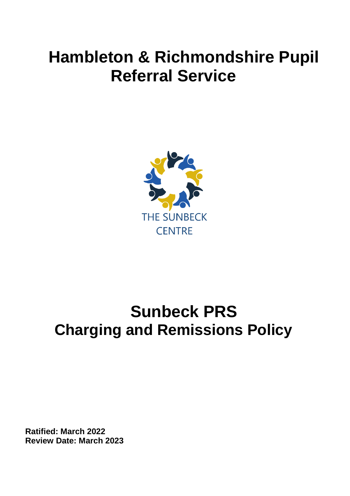# **Hambleton & Richmondshire Pupil Referral Service**



## **Sunbeck PRS Charging and Remissions Policy**

**Ratified: March 2022 Review Date: March 2023**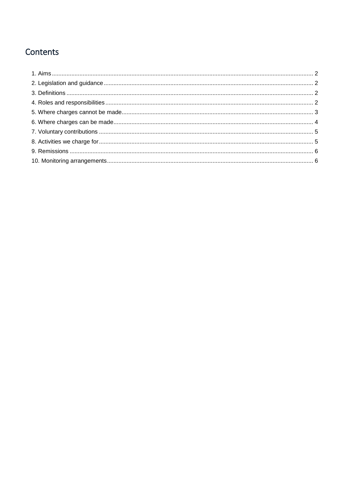## Contents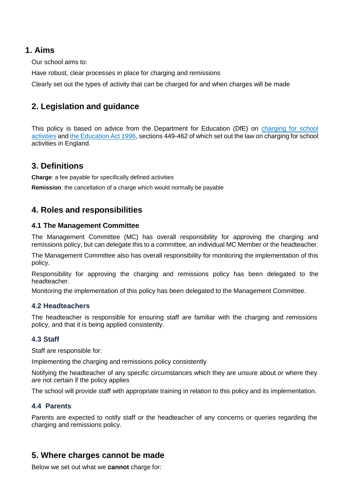## <span id="page-2-0"></span>**1. Aims**

Our school aims to:

Have robust, clear processes in place for charging and remissions

Clearly set out the types of activity that can be charged for and when charges will be made

## <span id="page-2-1"></span>**2. Legislation and guidance**

This policy is based on advice from the Department for Education (DfE) on [charging for school](https://www.gov.uk/government/publications/charging-for-school-activities) [activities](https://www.gov.uk/government/publications/charging-for-school-activities) and [the Education Act 1996,](http://www.legislation.gov.uk/ukpga/1996/56/part/VI/chapter/III) sections 449-462 of which set out the law on charging for school activities in England.

## <span id="page-2-2"></span>**3. Definitions**

**Charge**: a fee payable for specifically defined activities

**Remission**: the cancellation of a charge which would normally be payable

## <span id="page-2-3"></span>**4. Roles and responsibilities**

#### **4.1 The Management Committee**

The Management Committee (MC) has overall responsibility for approving the charging and remissions policy, but can delegate this to a committee, an individual MC Member or the headteacher.

The Management Committee also has overall responsibility for monitoring the implementation of this policy.

Responsibility for approving the charging and remissions policy has been delegated to the headteacher.

Monitoring the implementation of this policy has been delegated to the Management Committee.

#### **4.2 Headteachers**

The headteacher is responsible for ensuring staff are familiar with the charging and remissions policy, and that it is being applied consistently.

#### **4.3 Staff**

Staff are responsible for:

Implementing the charging and remissions policy consistently

Notifying the headteacher of any specific circumstances which they are unsure about or where they are not certain if the policy applies

The school will provide staff with appropriate training in relation to this policy and its implementation.

#### **4.4 Parents**

Parents are expected to notify staff or the headteacher of any concerns or queries regarding the charging and remissions policy.

## <span id="page-2-4"></span>**5. Where charges cannot be made**

Below we set out what we **cannot** charge for: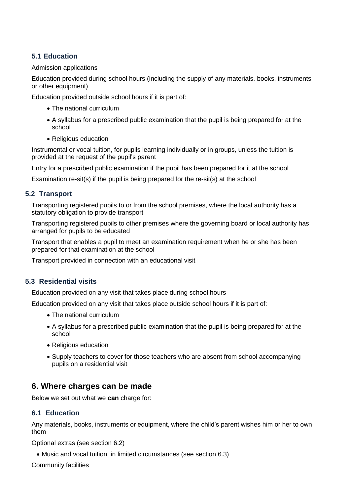#### **5.1 Education**

#### Admission applications

Education provided during school hours (including the supply of any materials, books, instruments or other equipment)

Education provided outside school hours if it is part of:

- The national curriculum
- A syllabus for a prescribed public examination that the pupil is being prepared for at the school
- Religious education

Instrumental or vocal tuition, for pupils learning individually or in groups, unless the tuition is provided at the request of the pupil's parent

Entry for a prescribed public examination if the pupil has been prepared for it at the school

Examination re-sit(s) if the pupil is being prepared for the re-sit(s) at the school

#### **5.2 Transport**

Transporting registered pupils to or from the school premises, where the local authority has a statutory obligation to provide transport

Transporting registered pupils to other premises where the governing board or local authority has arranged for pupils to be educated

Transport that enables a pupil to meet an examination requirement when he or she has been prepared for that examination at the school

Transport provided in connection with an educational visit

#### **5.3 Residential visits**

Education provided on any visit that takes place during school hours

Education provided on any visit that takes place outside school hours if it is part of:

- The national curriculum
- A syllabus for a prescribed public examination that the pupil is being prepared for at the school
- Religious education
- Supply teachers to cover for those teachers who are absent from school accompanying pupils on a residential visit

### <span id="page-3-0"></span>**6. Where charges can be made**

Below we set out what we **can** charge for:

#### **6.1 Education**

Any materials, books, instruments or equipment, where the child's parent wishes him or her to own them

Optional extras (see section 6.2)

Music and vocal tuition, in limited circumstances (see section 6.3)

Community facilities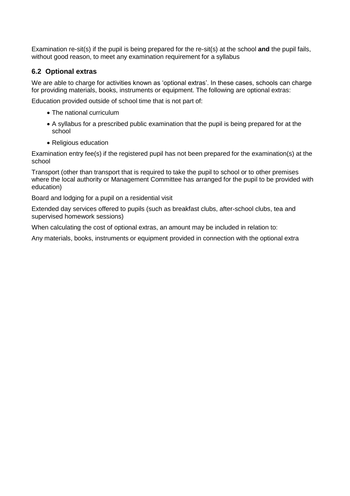Examination re-sit(s) if the pupil is being prepared for the re-sit(s) at the school **and** the pupil fails, without good reason, to meet any examination requirement for a syllabus

#### **6.2 Optional extras**

We are able to charge for activities known as 'optional extras'. In these cases, schools can charge for providing materials, books, instruments or equipment. The following are optional extras:

Education provided outside of school time that is not part of:

- The national curriculum
- A syllabus for a prescribed public examination that the pupil is being prepared for at the school
- Religious education

Examination entry fee(s) if the registered pupil has not been prepared for the examination(s) at the school

Transport (other than transport that is required to take the pupil to school or to other premises where the local authority or Management Committee has arranged for the pupil to be provided with education)

Board and lodging for a pupil on a residential visit

Extended day services offered to pupils (such as breakfast clubs, after-school clubs, tea and supervised homework sessions)

When calculating the cost of optional extras, an amount may be included in relation to:

Any materials, books, instruments or equipment provided in connection with the optional extra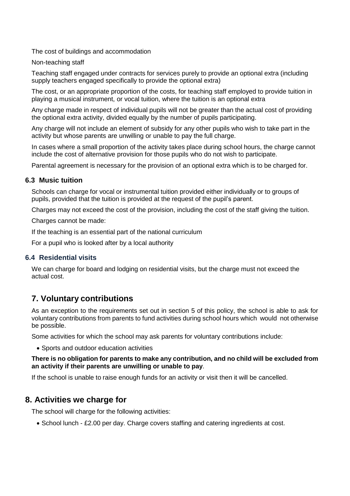The cost of buildings and accommodation

Non-teaching staff

Teaching staff engaged under contracts for services purely to provide an optional extra (including supply teachers engaged specifically to provide the optional extra)

The cost, or an appropriate proportion of the costs, for teaching staff employed to provide tuition in playing a musical instrument, or vocal tuition, where the tuition is an optional extra

Any charge made in respect of individual pupils will not be greater than the actual cost of providing the optional extra activity, divided equally by the number of pupils participating.

Any charge will not include an element of subsidy for any other pupils who wish to take part in the activity but whose parents are unwilling or unable to pay the full charge.

In cases where a small proportion of the activity takes place during school hours, the charge cannot include the cost of alternative provision for those pupils who do not wish to participate.

Parental agreement is necessary for the provision of an optional extra which is to be charged for.

#### **6.3 Music tuition**

Schools can charge for vocal or instrumental tuition provided either individually or to groups of pupils, provided that the tuition is provided at the request of the pupil's parent.

Charges may not exceed the cost of the provision, including the cost of the staff giving the tuition.

Charges cannot be made:

If the teaching is an essential part of the national curriculum

For a pupil who is looked after by a local authority

#### **6.4 Residential visits**

We can charge for board and lodging on residential visits, but the charge must not exceed the actual cost.

### <span id="page-5-0"></span>**7. Voluntary contributions**

As an exception to the requirements set out in section 5 of this policy, the school is able to ask for voluntary contributions from parents to fund activities during school hours which would not otherwise be possible.

Some activities for which the school may ask parents for voluntary contributions include:

Sports and outdoor education activities

#### **There is no obligation for parents to make any contribution, and no child will be excluded from an activity if their parents are unwilling or unable to pay**.

If the school is unable to raise enough funds for an activity or visit then it will be cancelled.

#### <span id="page-5-1"></span>**8. Activities we charge for**

The school will charge for the following activities:

• School lunch - £2.00 per day. Charge covers staffing and catering ingredients at cost.